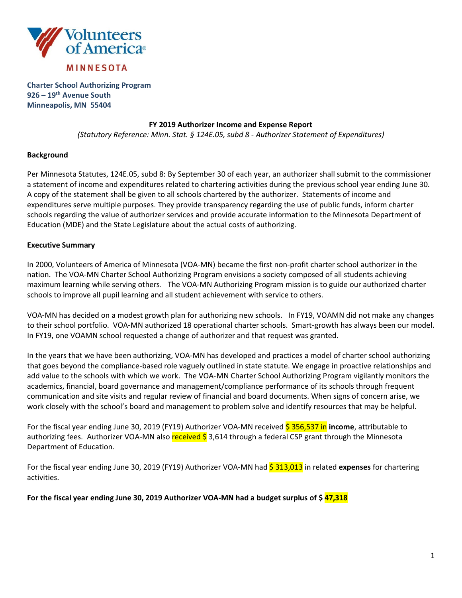

**Charter School Authorizing Program 926 – 19th Avenue South Minneapolis, MN 55404**

## **FY 2019 Authorizer Income and Expense Report**

*(Statutory Reference: Minn. Stat. § 124E.05, subd 8 - Authorizer Statement of Expenditures)*

## **Background**

Per Minnesota Statutes, 124E.05, subd 8: By September 30 of each year, an authorizer shall submit to the commissioner a statement of income and expenditures related to chartering activities during the previous school year ending June 30. A copy of the statement shall be given to all schools chartered by the authorizer. Statements of income and expenditures serve multiple purposes. They provide transparency regarding the use of public funds, inform charter schools regarding the value of authorizer services and provide accurate information to the Minnesota Department of Education (MDE) and the State Legislature about the actual costs of authorizing.

## **Executive Summary**

In 2000, Volunteers of America of Minnesota (VOA-MN) became the first non-profit charter school authorizer in the nation. The VOA-MN Charter School Authorizing Program envisions a society composed of all students achieving maximum learning while serving others. The VOA-MN Authorizing Program mission is to guide our authorized charter schools to improve all pupil learning and all student achievement with service to others.

VOA-MN has decided on a modest growth plan for authorizing new schools. In FY19, VOAMN did not make any changes to their school portfolio. VOA-MN authorized 18 operational charter schools. Smart-growth has always been our model. In FY19, one VOAMN school requested a change of authorizer and that request was granted.

In the years that we have been authorizing, VOA-MN has developed and practices a model of charter school authorizing that goes beyond the compliance-based role vaguely outlined in state statute. We engage in proactive relationships and add value to the schools with which we work. The VOA-MN Charter School Authorizing Program vigilantly monitors the academics, financial, board governance and management/compliance performance of its schools through frequent communication and site visits and regular review of financial and board documents. When signs of concern arise, we work closely with the school's board and management to problem solve and identify resources that may be helpful.

For the fiscal year ending June 30, 2019 (FY19) Authorizer VOA-MN received 5 356,537 in income, attributable to authorizing fees. Authorizer VOA-MN also received  $\frac{1}{5}$  3,614 through a federal CSP grant through the Minnesota Department of Education.

For the fiscal year ending June 30, 2019 (FY19) Authorizer VOA-MN had \$ 313,013 in related **expenses** for chartering activities.

**For the fiscal year ending June 30, 2019 Authorizer VOA-MN had a budget surplus of \$ 47,318**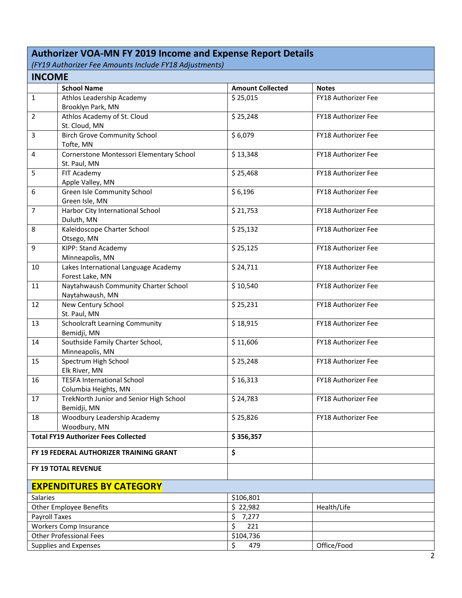## **Authorizer VOA-MN FY 2019 Income and Expense Report Details**

*(FY19 Authorizer Fee Amounts Include FY18 Adjustments)*

| <b>INCOME</b>                                                                    |                                          |                         |                            |  |
|----------------------------------------------------------------------------------|------------------------------------------|-------------------------|----------------------------|--|
|                                                                                  | <b>School Name</b>                       | <b>Amount Collected</b> | <b>Notes</b>               |  |
| $\mathbf{1}$                                                                     | Athlos Leadership Academy                | \$25,015                | <b>FY18 Authorizer Fee</b> |  |
|                                                                                  | Brooklyn Park, MN                        |                         |                            |  |
| $\overline{2}$                                                                   | Athlos Academy of St. Cloud              | \$25,248                | FY18 Authorizer Fee        |  |
|                                                                                  | St. Cloud, MN                            |                         |                            |  |
| 3                                                                                | <b>Birch Grove Community School</b>      | \$6,079                 | FY18 Authorizer Fee        |  |
|                                                                                  | Tofte, MN                                |                         |                            |  |
| 4                                                                                | Cornerstone Montessori Elementary School | \$13,348                | FY18 Authorizer Fee        |  |
|                                                                                  | St. Paul, MN                             |                         |                            |  |
| 5                                                                                | FIT Academy                              | \$25,468                | FY18 Authorizer Fee        |  |
|                                                                                  | Apple Valley, MN                         |                         |                            |  |
| 6                                                                                | Green Isle Community School              | \$6,196                 | FY18 Authorizer Fee        |  |
|                                                                                  | Green Isle, MN                           |                         |                            |  |
| $\overline{7}$                                                                   | Harbor City International School         | \$21,753                | FY18 Authorizer Fee        |  |
|                                                                                  | Duluth, MN                               |                         |                            |  |
| 8                                                                                | Kaleidoscope Charter School              | \$25,132                | FY18 Authorizer Fee        |  |
|                                                                                  | Otsego, MN                               |                         |                            |  |
| 9                                                                                | <b>KIPP: Stand Academy</b>               | \$25,125                | FY18 Authorizer Fee        |  |
|                                                                                  | Minneapolis, MN                          |                         |                            |  |
| 10                                                                               | Lakes International Language Academy     | \$24,711                | FY18 Authorizer Fee        |  |
|                                                                                  | Forest Lake, MN                          |                         |                            |  |
| 11                                                                               | Naytahwaush Community Charter School     | \$10,540                | FY18 Authorizer Fee        |  |
|                                                                                  | Naytahwaush, MN                          |                         |                            |  |
| 12                                                                               | New Century School                       | \$25,231                | FY18 Authorizer Fee        |  |
|                                                                                  | St. Paul, MN                             |                         |                            |  |
| 13                                                                               | <b>Schoolcraft Learning Community</b>    | \$18,915                | <b>FY18 Authorizer Fee</b> |  |
|                                                                                  | Bemidji, MN                              |                         |                            |  |
| 14                                                                               | Southside Family Charter School,         | \$11,606                | FY18 Authorizer Fee        |  |
|                                                                                  | Minneapolis, MN                          |                         |                            |  |
| 15                                                                               | Spectrum High School                     | \$25,248                | <b>FY18 Authorizer Fee</b> |  |
|                                                                                  | Elk River, MN                            |                         |                            |  |
| 16                                                                               | <b>TESFA International School</b>        | \$16,313                | FY18 Authorizer Fee        |  |
|                                                                                  | Columbia Heights, MN                     |                         |                            |  |
| 17                                                                               | TrekNorth Junior and Senior High School  | \$24,783                | FY18 Authorizer Fee        |  |
|                                                                                  | Bemidji, MN                              |                         |                            |  |
| 18                                                                               | Woodbury Leadership Academy              | \$25,826                | <b>FY18 Authorizer Fee</b> |  |
|                                                                                  | Woodbury, MN                             |                         |                            |  |
| <b>Total FY19 Authorizer Fees Collected</b>                                      |                                          | \$356,357               |                            |  |
|                                                                                  | FY 19 FEDERAL AUTHORIZER TRAINING GRANT  | \$                      |                            |  |
|                                                                                  |                                          |                         |                            |  |
|                                                                                  | FY 19 TOTAL REVENUE                      |                         |                            |  |
|                                                                                  | <b>EXPENDITURES BY CATEGORY</b>          |                         |                            |  |
| <b>Salaries</b>                                                                  |                                          | \$106,801               |                            |  |
| <b>Other Employee Benefits</b>                                                   |                                          | \$22,982                | Health/Life                |  |
|                                                                                  |                                          | \$7,277                 |                            |  |
|                                                                                  |                                          | \$<br>221               |                            |  |
| Payroll Taxes<br><b>Workers Comp Insurance</b><br><b>Other Professional Fees</b> |                                          | \$104,736               |                            |  |
|                                                                                  | Supplies and Expenses                    | \$<br>479               | Office/Food                |  |
|                                                                                  |                                          |                         |                            |  |